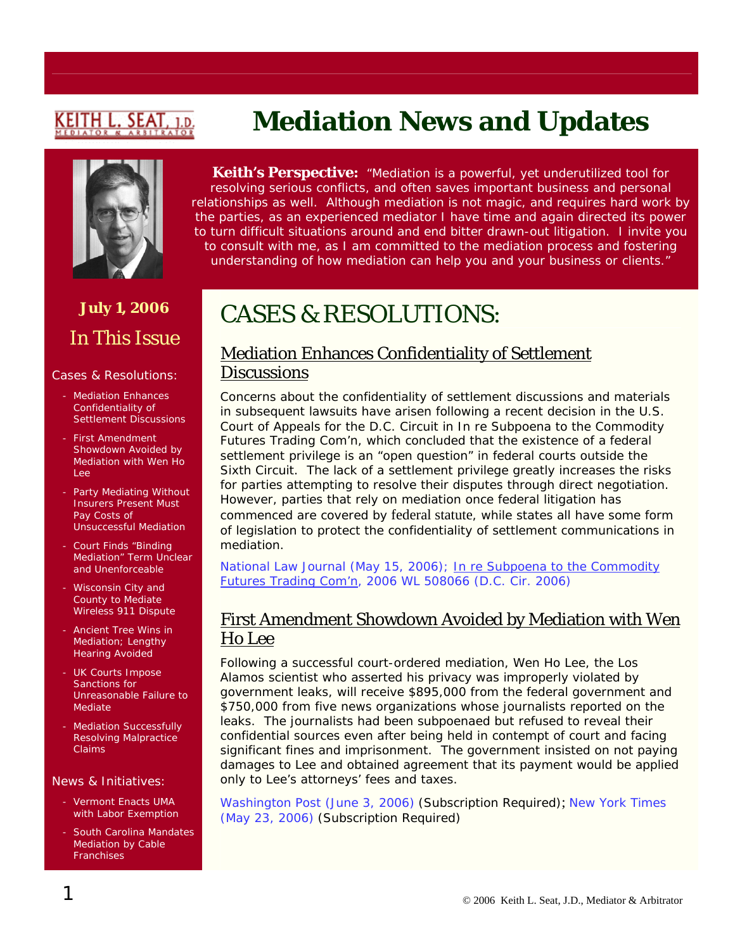# (EITH L. SEAT

# **July 1, 2006**  In This Issue

#### Cases & Resolutions:

- Mediation Enhances Confidentiality of Settlement Discussions
- First Amendment Showdown Avoided by Mediation with Wen Ho Lee
- Party Mediating Without Insurers Present Must Pay Costs of Unsuccessful Mediation
- Court Finds "Binding Mediation" Term Unclear and Unenforceable
- Wisconsin City and County to Mediate Wireless 911 Dispute
- Ancient Tree Wins in Mediation; Lengthy Hearing Avoided
- UK Courts Impose Sanctions for Unreasonable Failure to Mediate
- Mediation Successfully Resolving Malpractice Claims

#### News & Initiatives:

- Vermont Enacts UMA with Labor Exemption
- South Carolina Mandates Mediation by Cable **Franchises**

# **Mediation News and Updates**

**Keith's Perspective:** *"Mediation is a powerful, yet underutilized tool for resolving serious conflicts, and often saves important business and personal relationships as well. Although mediation is not magic, and requires hard work by the parties, as an experienced mediator I have time and again directed its power to turn difficult situations around and end bitter drawn-out litigation. I invite you to consult with me, as I am committed to the mediation process and fostering understanding of how mediation can help you and your business or clients."*

# CASES & RESOLUTIONS:

#### Mediation Enhances Confidentiality of Settlement **Discussions**

Concerns about the confidentiality of settlement discussions and materials in subsequent lawsuits have arisen following a recent decision in the U.S. Court of Appeals for the D.C. Circuit in In re Subpoena to the Commodity Futures Trading Com'n, which concluded that the existence of a federal settlement privilege is an "open question" in federal courts outside the Sixth Circuit. The lack of a settlement privilege greatly increases the risks for parties attempting to resolve their disputes through direct negotiation. However, parties that rely on mediation once federal litigation has commenced are covered by [federal statute](http://uscode.house.gov/uscode-cgi/fastweb.exe?getdoc+uscview+t26t28+3160+0++()%20%20AND%20((28)%20ADJ%20USC):CITE%20AND%20(USC%20w/10%20(652)):CITE%20%20%20%20%20%20%20%20%20), while states all have some form of legislation to protect the confidentiality of settlement communications in mediation.

[National Law Journal \(May 15, 2006\);](http://media.gibsondunn.com/fstore/documents/pubs/BattagliaPoon5.15.06NLJ.pdf) In re Subpoena to the Commodity [Futures Trading Com'n, 2006 WL 508066 \(D.C. Cir. 2006\)](http://caselaw.lp.findlaw.com/data2/circs/dc/055168a.pdf)

#### First Amendment Showdown Avoided by Mediation with Wen Ho Lee

Following a successful court-ordered mediation, Wen Ho Lee, the Los Alamos scientist who asserted his privacy was improperly violated by government leaks, will receive \$895,000 from the federal government and \$750,000 from five news organizations whose journalists reported on the leaks. The journalists had been subpoenaed but refused to reveal their confidential sources even after being held in contempt of court and facing significant fines and imprisonment. The government insisted on not paying damages to Lee and obtained agreement that its payment would be applied only to Lee's attorneys' fees and taxes.

[Washington Post \(June 3, 2006\)](http://web2.westlaw.com/find/default.wl?rs=WLW6.05&fn=_top&sv=Split&findjuris=00001&mt=NewsAndBusiness&vr=2.0&rp=/find/default.wl&cite=2006+WLNR+9519595) (Subscription Required); [New York Times](http://web2.westlaw.com/find/default.wl?rs=WLW6.06&fn=_top&sv=Split&findjuris=00001&mt=NewsAndBusiness&vr=2.0&rp=/find/default.wl&cite=2006+wlnr+8813113)  [\(May 23, 2006\)](http://web2.westlaw.com/find/default.wl?rs=WLW6.06&fn=_top&sv=Split&findjuris=00001&mt=NewsAndBusiness&vr=2.0&rp=/find/default.wl&cite=2006+wlnr+8813113) (Subscription Required)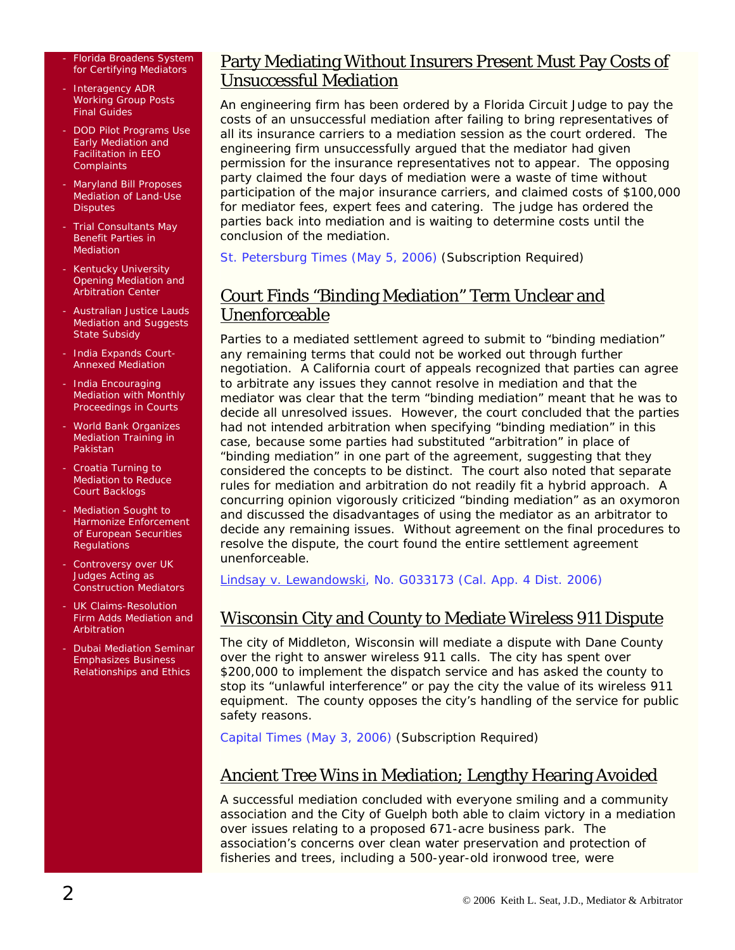#### Florida Broadens System for Certifying Mediators

- Interagency ADR Working Group Posts Final Guides
- DOD Pilot Programs Use Early Mediation and Facilitation in EEO **Complaints**
- Maryland Bill Proposes Mediation of Land-Use **Disputes**
- Trial Consultants May Benefit Parties in Mediation
- Kentucky University Opening Mediation and Arbitration Center
- Australian Justice Lauds Mediation and Suggests State Subsidy
- India Expands Court-Annexed Mediation
- India Encouraging Mediation with Monthly Proceedings in Courts
- World Bank Organizes Mediation Training in Pakistan
- Croatia Turning to Mediation to Reduce Court Backlogs
- Mediation Sought to Harmonize Enforcement of European Securities Regulations
- Controversy over UK Judges Acting as Construction Mediators
- UK Claims-Resolution Firm Adds Mediation and Arbitration
- Dubai Mediation Seminar Emphasizes Business Relationships and Ethics

#### Party Mediating Without Insurers Present Must Pay Costs of Unsuccessful Mediation

An engineering firm has been ordered by a Florida Circuit Judge to pay the costs of an unsuccessful mediation after failing to bring representatives of all its insurance carriers to a mediation session as the court ordered. The engineering firm unsuccessfully argued that the mediator had given permission for the insurance representatives not to appear. The opposing party claimed the four days of mediation were a waste of time without participation of the major insurance carriers, and claimed costs of \$100,000 for mediator fees, expert fees and catering. The judge has ordered the parties back into mediation and is waiting to determine costs until the conclusion of the mediation.

[St. Petersburg Times \(May 5, 2006\)](http://web2.westlaw.com/find/default.wl?rs=WLW6.06&fn=_top&sv=Split&findjuris=00001&mt=NewsAndBusiness&vr=2.0&rp=/find/default.wl&cite=2006+wlnr+7757887) (Subscription Required)

#### Court Finds "Binding Mediation" Term Unclear and Unenforceable

Parties to a mediated settlement agreed to submit to "binding mediation" any remaining terms that could not be worked out through further negotiation. A California court of appeals recognized that parties can agree to arbitrate any issues they cannot resolve in mediation and that the mediator was clear that the term "binding mediation" meant that he was to decide all unresolved issues. However, the court concluded that the parties had not intended arbitration when specifying "binding mediation" in this case, because some parties had substituted "arbitration" in place of "binding mediation" in one part of the agreement, suggesting that they considered the concepts to be distinct. The court also noted that separate rules for mediation and arbitration do not readily fit a hybrid approach. A concurring opinion vigorously criticized "binding mediation" as an oxymoron and discussed the disadvantages of using the mediator as an arbitrator to decide any remaining issues. Without agreement on the final procedures to resolve the dispute, the court found the entire settlement agreement unenforceable.

[Lindsay v. Lewandowski, No. G033173 \(Cal. App. 4 Dist. 2006\)](http://www.courtinfo.ca.gov/opinions/documents/G033173.PDF)

#### Wisconsin City and County to Mediate Wireless 911 Dispute

The city of Middleton, Wisconsin will mediate a dispute with Dane County over the right to answer wireless 911 calls. The city has spent over \$200,000 to implement the dispatch service and has asked the county to stop its "unlawful interference" or pay the city the value of its wireless 911 equipment. The county opposes the city's handling of the service for public safety reasons.

[Capital Times \(May 3, 2006\)](http://web2.westlaw.com/find/default.wl?rs=WLW6.06&fn=_top&sv=Split&findjuris=00001&mt=NewsAndBusiness&vr=2.0&rp=/find/default.wl&cite=2006+wlnr+7612234) (Subscription Required)

### Ancient Tree Wins in Mediation; Lengthy Hearing Avoided

A successful mediation concluded with everyone smiling and a community association and the City of Guelph both able to claim victory in a mediation over issues relating to a proposed 671-acre business park. The association's concerns over clean water preservation and protection of fisheries and trees, including a 500-year-old ironwood tree, were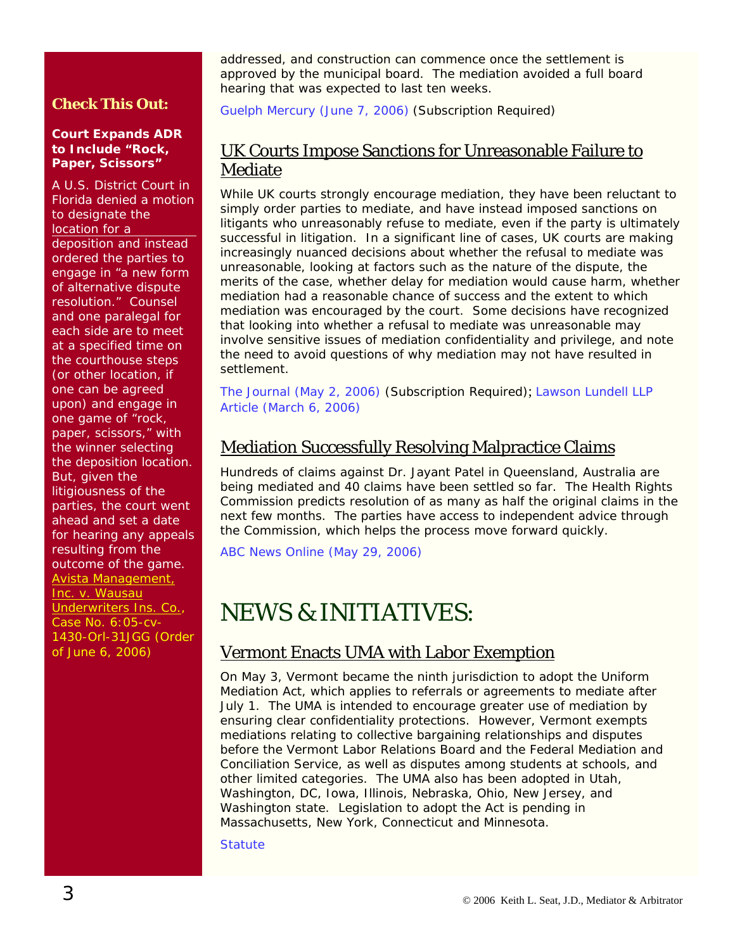#### **Check This Out:**

#### **Court Expands ADR to Include "Rock, Paper, Scissors"**

A U.S. District Court in Florida denied a motion to designate the location for a deposition and instead ordered the parties to engage in "a new form of alternative dispute resolution." Counsel and one paralegal for each side are to meet at a specified time on the courthouse steps (or other location, if one can be agreed upon) and engage in one game of "rock, paper, scissors," with the winner selecting the deposition location. But, given the litigiousness of the parties, the court went ahead and set a date for hearing any appeals resulting from the outcome of the game. [Avista Management,](http://www.worldlawdirect.com/article/1914/Avista_vs_Wausau.html)  Inc. v. Wausau Underwriters Ins. Co., [Case No. 6:05-cv-](http://www.worldlawdirect.com/article/1914/Avista_vs_Wausau.html)[1430-Orl-31JGG \(Order](http://www.worldlawdirect.com/article/1914/Avista_vs_Wausau.html)  [of June 6, 2006\)](http://www.worldlawdirect.com/article/1914/Avista_vs_Wausau.html)

addressed, and construction can commence once the settlement is approved by the municipal board. The mediation avoided a full board hearing that was expected to last ten weeks.

[Guelph Mercury \(June 7, 2006\)](http://web2.westlaw.com/find/default.wl?rs=WLW6.06&fn=_top&sv=Split&findjuris=00001&mt=NewsAndBusiness&vr=2.0&rp=/find/default.wl&cite=2006+wlnr+9751839) (Subscription Required)

#### UK Courts Impose Sanctions for Unreasonable Failure to Mediate

While UK courts strongly encourage mediation, they have been reluctant to simply order parties to mediate, and have instead imposed sanctions on litigants who unreasonably refuse to mediate, even if the party is ultimately successful in litigation. In a significant line of cases, UK courts are making increasingly nuanced decisions about whether the refusal to mediate was unreasonable, looking at factors such as the nature of the dispute, the merits of the case, whether delay for mediation would cause harm, whether mediation had a reasonable chance of success and the extent to which mediation was encouraged by the court. Some decisions have recognized that looking into whether a refusal to mediate was unreasonable may involve sensitive issues of mediation confidentiality and privilege, and note the need to avoid questions of why mediation may not have resulted in settlement.

[The Journal \(May 2, 2006\)](http://web2.westlaw.com/find/default.wl?bhcp=1&cite=2006+WLNR+7551811&findjuris=00001&FN=_top&mt=NewsAndBusiness&rs=WLW6.05&ssl=y&strRecreate=no&sv=Split&vr=2.0) (Subscription Required); [Lawson Lundell LLP](http://www.lawsonlundell.com/resources/CostsSanctions-UnreasonableRefusal.pdf)  [Article \(March 6, 2006\)](http://www.lawsonlundell.com/resources/CostsSanctions-UnreasonableRefusal.pdf) 

#### Mediation Successfully Resolving Malpractice Claims

Hundreds of claims against Dr. Jayant Patel in Queensland, Australia are being mediated and 40 claims have been settled so far. The Health Rights Commission predicts resolution of as many as half the original claims in the next few months. The parties have access to independent advice through the Commission, which helps the process move forward quickly.

[ABC News Online \(May 29, 2006\)](http://www.abc.net.au/news/newsitems/200605/s1649434.htm)

# NEWS & INITIATIVES:

#### Vermont Enacts UMA with Labor Exemption

On May 3, Vermont became the ninth jurisdiction to adopt the Uniform Mediation Act, which applies to referrals or agreements to mediate after July 1. The UMA is intended to encourage greater use of mediation by ensuring clear confidentiality protections. However, Vermont exempts mediations relating to collective bargaining relationships and disputes before the Vermont Labor Relations Board and the Federal Mediation and Conciliation Service, as well as disputes among students at schools, and other limited categories. The UMA also has been adopted in Utah, Washington, DC, Iowa, Illinois, Nebraska, Ohio, New Jersey, and Washington state. Legislation to adopt the Act is pending in Massachusetts, New York, Connecticut and Minnesota.

**Statute**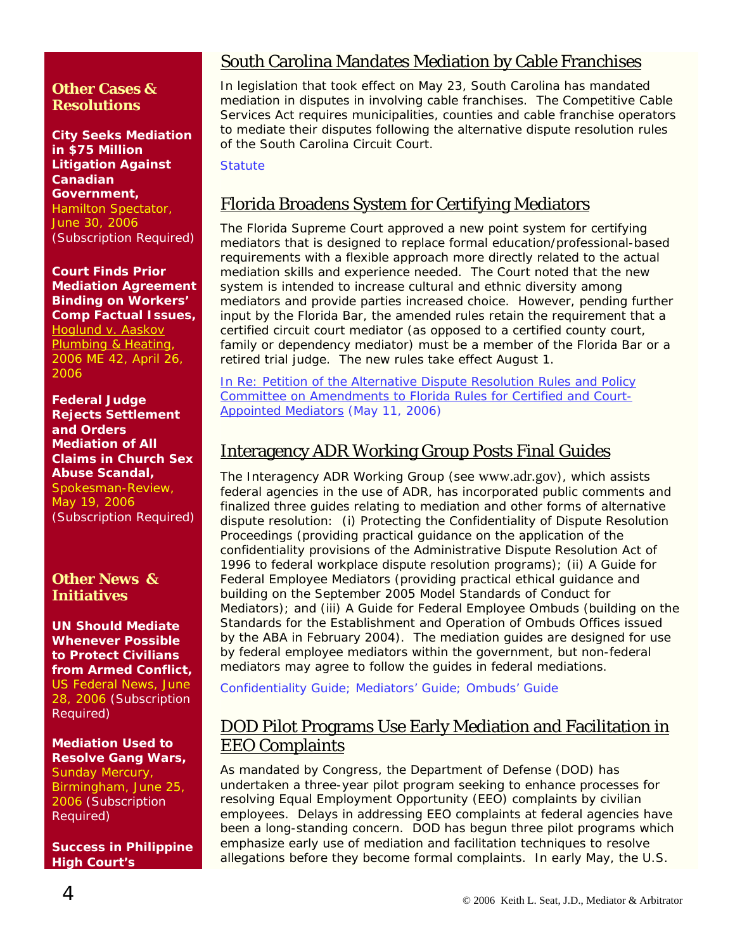#### **Other Cases & Resolutions**

**City Seeks Mediation in \$75 Million Litigation Against Canadian Government,**  [Hamilton Spectator,](http://web2.westlaw.com/find/default.wl?rs=WLW6.06&fn=_top&sv=Split&findjuris=00001&mt=NewsAndBusiness&vr=2.0&rp=/find/default.wl&cite=2006+wlnr+11311933)  [June 30, 2006](http://web2.westlaw.com/find/default.wl?rs=WLW6.06&fn=_top&sv=Split&findjuris=00001&mt=NewsAndBusiness&vr=2.0&rp=/find/default.wl&cite=2006+wlnr+11311933) (Subscription Required)

**Court Finds Prior Mediation Agreement Binding on Workers' Comp Factual Issues,**  [Hoglund v. Aaskov](http://www.courts.state.me.us/opinions/2006%20documents%20/06me42ho.htm) 

[Plumbing & Heating,](http://www.courts.state.me.us/opinions/2006%20documents%20/06me42ho.htm)  [2006 ME 42, April 26,](http://www.courts.state.me.us/opinions/2006%20documents%20/06me42ho.htm)  [2006](http://www.courts.state.me.us/opinions/2006%20documents%20/06me42ho.htm) 

**Federal Judge Rejects Settlement and Orders Mediation of All Claims in Church Sex Abuse Scandal,**  [Spokesman-Review,](http://web2.westlaw.com/find/default.wl?rs=WLW6.06&fn=_top&sv=Split&findjuris=00001&mt=NewsAndBusiness&vr=2.0&rp=/find/default.wl&cite=2006+wlnr+8689508)  [May 19, 2006](http://web2.westlaw.com/find/default.wl?rs=WLW6.06&fn=_top&sv=Split&findjuris=00001&mt=NewsAndBusiness&vr=2.0&rp=/find/default.wl&cite=2006+wlnr+8689508) (Subscription Required)

#### **Other News & Initiatives**

**UN Should Mediate Whenever Possible to Protect Civilians from Armed Conflict,** [US Federal News, June](http://web2.westlaw.com/find/default.wl?rs=WLW6.06&fn=_top&sv=Split&findjuris=00001&mt=NewsAndBusiness&vr=2.0&rp=/find/default.wl&cite=2006+wlnr+11250147)  [28, 2006](http://web2.westlaw.com/find/default.wl?rs=WLW6.06&fn=_top&sv=Split&findjuris=00001&mt=NewsAndBusiness&vr=2.0&rp=/find/default.wl&cite=2006+wlnr+11250147) (Subscription Required)

**Mediation Used to Resolve Gang Wars,** 

Sunday Mercury, [Birmingham, June 25,](http://web2.westlaw.com/find/default.wl?rs=WLW6.06&fn=_top&sv=Split&findjuris=00001&mt=NewsAndBusiness&vr=2.0&rp=/find/default.wl&cite=2006+wlnr+10991388)  [2006](http://web2.westlaw.com/find/default.wl?rs=WLW6.06&fn=_top&sv=Split&findjuris=00001&mt=NewsAndBusiness&vr=2.0&rp=/find/default.wl&cite=2006+wlnr+10991388) (Subscription Required)

**Success in Philippine High Court's** 

### South Carolina Mandates Mediation by Cable Franchises

In legislation that took effect on May 23, South Carolina has mandated mediation in disputes in involving cable franchises. The Competitive Cable Services Act requires municipalities, counties and cable franchise operators to mediate their disputes following the alternative dispute resolution rules of the South Carolina Circuit Court.

**[Statute](http://www.scstatehouse.net/sess116_2005-2006/bills/4428.doc)** 

### Florida Broadens System for Certifying Mediators

The Florida Supreme Court approved a new point system for certifying mediators that is designed to replace formal education/professional-based requirements with a flexible approach more directly related to the actual mediation skills and experience needed. The Court noted that the new system is intended to increase cultural and ethnic diversity among mediators and provide parties increased choice. However, pending further input by the Florida Bar, the amended rules retain the requirement that a certified circuit court mediator (as opposed to a certified county court, family or dependency mediator) must be a member of the Florida Bar or a retired trial judge. The new rules take effect August 1.

[In Re: Petition of the Alternative Dispute Resolution Rules and Policy](http://www.floridasupremecourt.org/decisions/2006/sc05-998.pdf)  [Committee on Amendments to Florida Rules for Certified and Court-](http://www.floridasupremecourt.org/decisions/2006/sc05-998.pdf)[Appointed Mediators \(May 11, 2006\)](http://www.floridasupremecourt.org/decisions/2006/sc05-998.pdf)

### Interagency ADR Working Group Posts Final Guides

The Interagency ADR Working Group (see [www.adr.gov](http://www.adr.gov/)), which assists federal agencies in the use of ADR, has incorporated public comments and finalized three guides relating to mediation and other forms of alternative dispute resolution: (i) Protecting the Confidentiality of Dispute Resolution Proceedings (providing practical guidance on the application of the confidentiality provisions of the Administrative Dispute Resolution Act of 1996 to federal workplace dispute resolution programs); (ii) A Guide for Federal Employee Mediators (providing practical ethical guidance and building on the September 2005 Model Standards of Conduct for Mediators); and (iii) A Guide for Federal Employee Ombuds (building on the Standards for the Establishment and Operation of Ombuds Offices issued by the ABA in February 2004). The mediation guides are designed for use by federal employee mediators within the government, but non-federal mediators may agree to follow the guides in federal mediations.

[Confidentiality Guide](http://www.adr.gov/pdf/final_confid.pdf); [Mediators' Guide](http://www.adr.gov/pdf/final_manual.pdf); [Ombuds' Guide](http://www.adr.gov/pdf/final_ombuds.pdf)

### DOD Pilot Programs Use Early Mediation and Facilitation in EEO Complaints

As mandated by Congress, the Department of Defense (DOD) has undertaken a three-year pilot program seeking to enhance processes for resolving Equal Employment Opportunity (EEO) complaints by civilian employees. Delays in addressing EEO complaints at federal agencies have been a long-standing concern. DOD has begun three pilot programs which emphasize early use of mediation and facilitation techniques to resolve allegations before they become formal complaints. In early May, the U.S.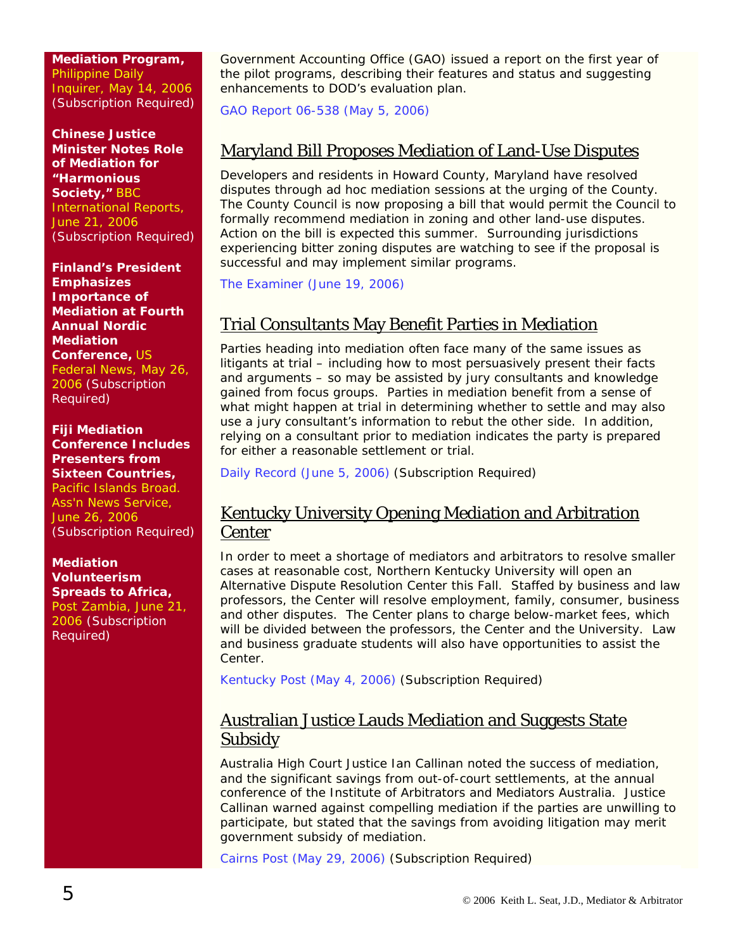**Mediation Program,** [Philippine Daily](http://web2.westlaw.com/find/default.wl?rs=WLW6.06&fn=_top&sv=Split&findjuris=00001&mt=NewsAndBusiness&vr=2.0&rp=/find/default.wl&cite=2006+wlnr+8252894)  [Inquirer, May 14, 2006](http://web2.westlaw.com/find/default.wl?rs=WLW6.06&fn=_top&sv=Split&findjuris=00001&mt=NewsAndBusiness&vr=2.0&rp=/find/default.wl&cite=2006+wlnr+8252894) (Subscription Required)

**Chinese Justice Minister Notes Role of Mediation for "Harmonious Society,"** [BBC](http://web2.westlaw.com/find/default.wl?rs=WLW6.06&fn=_top&sv=Split&findjuris=00001&mt=NewsAndBusiness&vr=2.0&rp=/find/default.wl&cite=6/21/06+BBC+Int)  [International Reports,](http://web2.westlaw.com/find/default.wl?rs=WLW6.06&fn=_top&sv=Split&findjuris=00001&mt=NewsAndBusiness&vr=2.0&rp=/find/default.wl&cite=6/21/06+BBC+Int)  [June 21, 2006](http://web2.westlaw.com/find/default.wl?rs=WLW6.06&fn=_top&sv=Split&findjuris=00001&mt=NewsAndBusiness&vr=2.0&rp=/find/default.wl&cite=6/21/06+BBC+Int) (Subscription Required)

**Finland's President Emphasizes Importance of Mediation at Fourth Annual Nordic Mediation Conference,** [US](http://web2.westlaw.com/find/default.wl?rs=WLW6.06&fn=_top&sv=Split&findjuris=00001&mt=NewsAndBusiness&vr=2.0&rp=/find/default.wl&cite=2006+wlnr+9120417)  [Federal News, May 26,](http://web2.westlaw.com/find/default.wl?rs=WLW6.06&fn=_top&sv=Split&findjuris=00001&mt=NewsAndBusiness&vr=2.0&rp=/find/default.wl&cite=2006+wlnr+9120417)  [2006](http://web2.westlaw.com/find/default.wl?rs=WLW6.06&fn=_top&sv=Split&findjuris=00001&mt=NewsAndBusiness&vr=2.0&rp=/find/default.wl&cite=2006+wlnr+9120417) (Subscription Required)

**Fiji Mediation Conference Includes Presenters from Sixteen Countries,**  Pacific Islands Broad. [Ass'n News Service,](http://web2.westlaw.com/find/default.wl?rs=WLW6.06&fn=_top&sv=Split&findjuris=00001&mt=NewsAndBusiness&vr=2.0&rp=/find/default.wl&cite=pacnews)  [June 26, 2006](http://web2.westlaw.com/find/default.wl?rs=WLW6.06&fn=_top&sv=Split&findjuris=00001&mt=NewsAndBusiness&vr=2.0&rp=/find/default.wl&cite=pacnews) (Subscription Required)

#### **Mediation Volunteerism Spreads to Africa,**

[Post Zambia, June 21,](http://web2.westlaw.com/find/default.wl?rs=WLW6.06&fn=_top&sv=Split&findjuris=00001&mt=NewsAndBusiness&vr=2.0&rp=/find/default.wl&cite=2006+wlnr+11346526)  [2006](http://web2.westlaw.com/find/default.wl?rs=WLW6.06&fn=_top&sv=Split&findjuris=00001&mt=NewsAndBusiness&vr=2.0&rp=/find/default.wl&cite=2006+wlnr+11346526) (Subscription Required)

Government Accounting Office (GAO) issued a report on the first year of the pilot programs, describing their features and status and suggesting enhancements to DOD's evaluation plan.

[GAO Report 06-538 \(May 5, 2006\)](http://www.gao.gov/new.items/d06538.pdf)

### Maryland Bill Proposes Mediation of Land-Use Disputes

Developers and residents in Howard County, Maryland have resolved disputes through ad hoc mediation sessions at the urging of the County. The County Council is now proposing a bill that would permit the Council to formally recommend mediation in zoning and other land-use disputes. Action on the bill is expected this summer. Surrounding jurisdictions experiencing bitter zoning disputes are watching to see if the proposal is successful and may implement similar programs.

[The Examiner \(June 19, 2006\)](http://www.examiner.com/a-153799~Howard_Co__wants_mediation_for_residents__developers.html)

### Trial Consultants May Benefit Parties in Mediation

Parties heading into mediation often face many of the same issues as litigants at trial – including how to most persuasively present their facts and arguments – so may be assisted by jury consultants and knowledge gained from focus groups. Parties in mediation benefit from a sense of what might happen at trial in determining whether to settle and may also use a jury consultant's information to rebut the other side. In addition, relying on a consultant prior to mediation indicates the party is prepared for either a reasonable settlement or trial.

[Daily Record \(June 5, 2006\)](http://web2.westlaw.com/find/default.wl?rs=WLW6.06&fn=_top&sv=Split&findjuris=00001&mt=NewsAndBusiness&vr=2.0&rp=/find/default.wl&cite=2006+wlnr+9750152) (Subscription Required)

#### Kentucky University Opening Mediation and Arbitration **Center**

In order to meet a shortage of mediators and arbitrators to resolve smaller cases at reasonable cost, Northern Kentucky University will open an Alternative Dispute Resolution Center this Fall. Staffed by business and law professors, the Center will resolve employment, family, consumer, business and other disputes. The Center plans to charge below-market fees, which will be divided between the professors, the Center and the University. Law and business graduate students will also have opportunities to assist the Center.

[Kentucky Post \(May 4, 2006\)](http://web2.westlaw.com/find/default.wl?rs=WLW6.06&fn=_top&sv=Split&findjuris=00001&mt=NewsAndBusiness&vr=2.0&rp=/find/default.wl&cite=2006+wlnr+7744360) (Subscription Required)

#### Australian Justice Lauds Mediation and Suggests State **Subsidy**

Australia High Court Justice Ian Callinan noted the success of mediation, and the significant savings from out-of-court settlements, at the annual conference of the Institute of Arbitrators and Mediators Australia. Justice Callinan warned against compelling mediation if the parties are unwilling to participate, but stated that the savings from avoiding litigation may merit government subsidy of mediation.

[Cairns Post \(May 29, 2006\)](http://web2.westlaw.com/find/default.wl?rs=WLW6.06&fn=_top&sv=Split&findjuris=00001&mt=NewsAndBusiness&vr=2.0&rp=/find/default.wl&cite=2006+wlnr+9182762) (Subscription Required)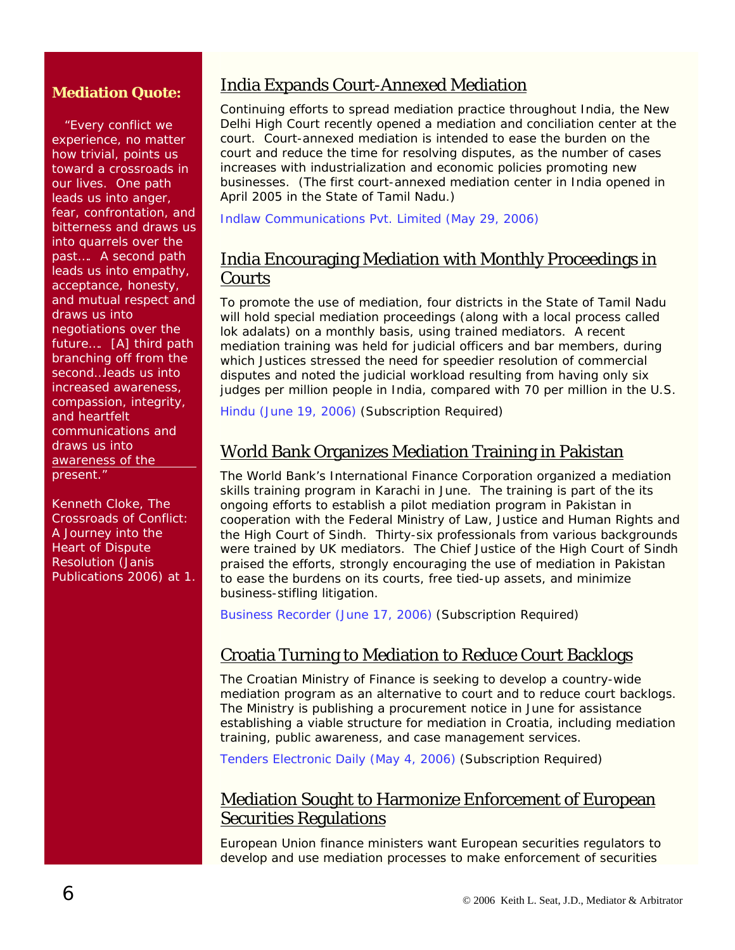#### **Mediation Quote:**

 "Every conflict we experience, no matter how trivial, points us toward a crossroads in our lives. One path leads us into anger, fear, confrontation, and bitterness and draws us into quarrels over the past…. A second path leads us into empathy, acceptance, honesty, and mutual respect and draws us into negotiations over the future…. [A] third path branching off from the second…leads us into increased awareness, compassion, integrity, and heartfelt communications and draws us into awareness of the present."

Kenneth Cloke, *The Crossroads of Conflict: A Journey into the Heart of Dispute Resolution* (Janis Publications 2006) at 1.

### India Expands Court-Annexed Mediation

Continuing efforts to spread mediation practice throughout India, the New Delhi High Court recently opened a mediation and conciliation center at the court. Court-annexed mediation is intended to ease the burden on the court and reduce the time for resolving disputes, as the number of cases increases with industrialization and economic policies promoting new businesses. (The first court-annexed mediation center in India opened in April 2005 in the State of Tamil Nadu.)

[Indlaw Communications Pvt. Limited \(May 29, 2006\)](http://www.indlawnews.com/DF0B903F3B500519B8709DDE258CA0C9)

### India Encouraging Mediation with Monthly Proceedings in **Courts**

To promote the use of mediation, four districts in the State of Tamil Nadu will hold special mediation proceedings (along with a local process called lok adalats) on a monthly basis, using trained mediators. A recent mediation training was held for judicial officers and bar members, during which Justices stressed the need for speedier resolution of commercial disputes and noted the judicial workload resulting from having only six judges per million people in India, compared with 70 per million in the U.S.

[Hindu \(June 19, 2006\)](http://web2.westlaw.com/find/default.wl?rs=WLW6.06&fn=_top&sv=Split&findjuris=00001&mt=NewsAndBusiness&vr=2.0&rp=/find/default.wl&cite=2006+wlnr+10581221) (Subscription Required)

### World Bank Organizes Mediation Training in Pakistan

The World Bank's International Finance Corporation organized a mediation skills training program in Karachi in June. The training is part of the its ongoing efforts to establish a pilot mediation program in Pakistan in cooperation with the Federal Ministry of Law, Justice and Human Rights and the High Court of Sindh. Thirty-six professionals from various backgrounds were trained by UK mediators. The Chief Justice of the High Court of Sindh praised the efforts, strongly encouraging the use of mediation in Pakistan to ease the burdens on its courts, free tied-up assets, and minimize business-stifling litigation.

[Business Recorder \(June 17, 2006\)](http://web2.westlaw.com/find/default.wl?rs=WLW6.06&fn=_top&sv=Split&findjuris=00001&mt=NewsAndBusiness&vr=2.0&rp=/find/default.wl&cite=2006+wlnr+10507506) (Subscription Required)

#### Croatia Turning to Mediation to Reduce Court Backlogs

The Croatian Ministry of Finance is seeking to develop a country-wide mediation program as an alternative to court and to reduce court backlogs. The Ministry is publishing a procurement notice in June for assistance establishing a viable structure for mediation in Croatia, including mediation training, public awareness, and case management services.

[Tenders Electronic Daily \(May 4, 2006\)](http://web2.westlaw.com/find/default.wl?rs=WLW6.06&fn=_top&sv=Split&findjuris=00001&mt=NewsAndBusiness&vr=2.0&rp=/find/default.wl&cite=2006+wlnr+7597154) (Subscription Required)

#### Mediation Sought to Harmonize Enforcement of European Securities Regulations

European Union finance ministers want European securities regulators to develop and use mediation processes to make enforcement of securities